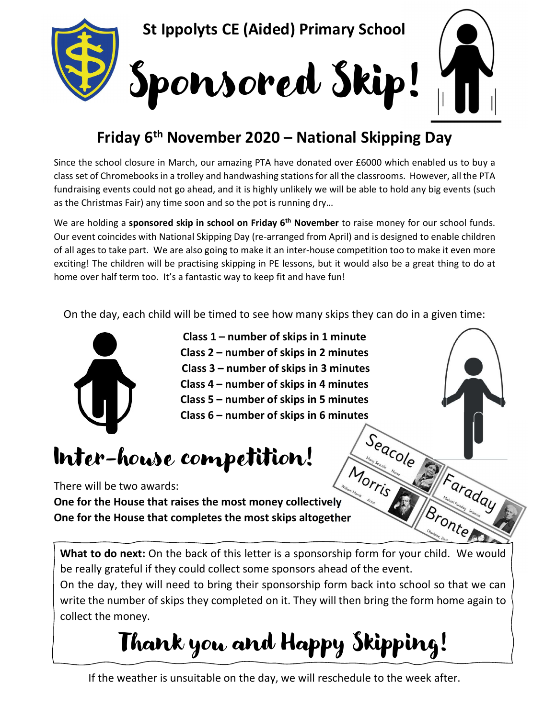

## Friday 6th November 2020 – National Skipping Day

Since the school closure in March, our amazing PTA have donated over £6000 which enabled us to buy a class set of Chromebooks in a trolley and handwashing stations for all the classrooms. However, all the PTA fundraising events could not go ahead, and it is highly unlikely we will be able to hold any big events (such as the Christmas Fair) any time soon and so the pot is running dry…

We are holding a sponsored skip in school on Friday 6<sup>th</sup> November to raise money for our school funds. Our event coincides with National Skipping Day (re-arranged from April) and is designed to enable children of all ages to take part. We are also going to make it an inter-house competition too to make it even more exciting! The children will be practising skipping in PE lessons, but it would also be a great thing to do at home over half term too. It's a fantastic way to keep fit and have fun!

On the day, each child will be timed to see how many skips they can do in a given time:



- Class 1 number of skips in 1 minute Class 2 – number of skips in 2 minutes Class 3 – number of skips in 3 minutes Class 4 – number of skips in 4 minutes Class 5 – number of skips in 5 minutes
- Class 6 number of skips in 6 minutes

## Inter-house competition!

There will be two awards:

One for the House that raises the most money collectively One for the House that completes the most skips altogether

What to do next: On the back of this letter is a sponsorship form for your child. We would be really grateful if they could collect some sponsors ahead of the event.

Faraday

**Bronte** 

On the day, they will need to bring their sponsorship form back into school so that we can write the number of skips they completed on it. They will then bring the form home again to collect the money.

Thank you and Happy Skipping!

If the weather is unsuitable on the day, we will reschedule to the week after.